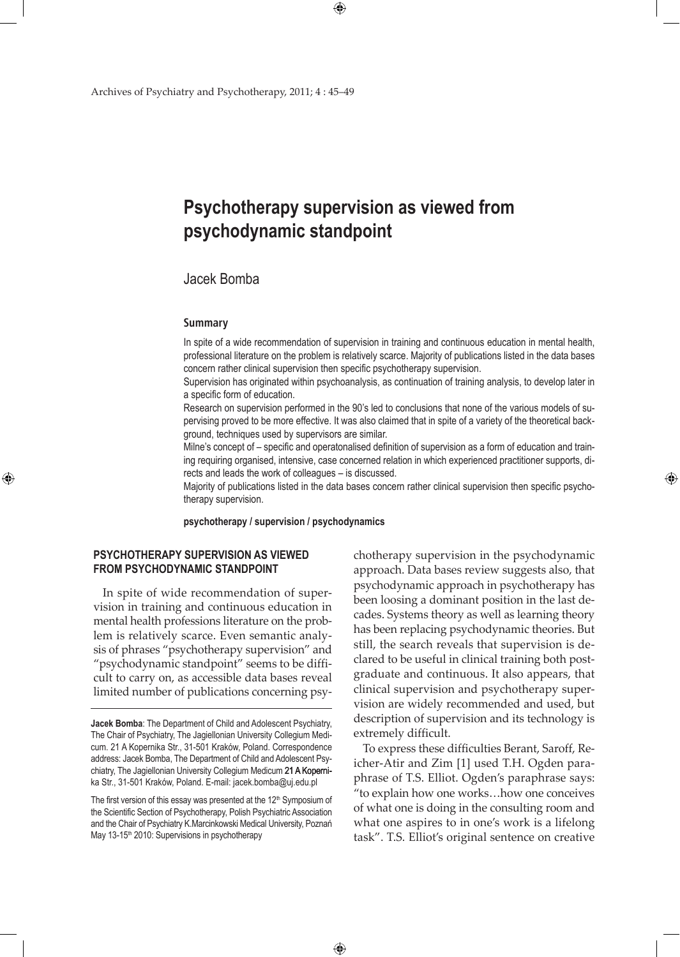# **Psychotherapy supervision as viewed from psychodynamic standpoint**

 $\bigoplus$ 

## Jacek Bomba

#### **Summary**

In spite of a wide recommendation of supervision in training and continuous education in mental health, professional literature on the problem is relatively scarce. Majority of publications listed in the data bases concern rather clinical supervision then specific psychotherapy supervision.

Supervision has originated within psychoanalysis, as continuation of training analysis, to develop later in a specific form of education.

Research on supervision performed in the 90's led to conclusions that none of the various models of supervising proved to be more effective. It was also claimed that in spite of a variety of the theoretical background, techniques used by supervisors are similar.

Milne's concept of – specific and operatonalised definition of supervision as a form of education and training requiring organised, intensive, case concerned relation in which experienced practitioner supports, directs and leads the work of colleagues – is discussed.

Majority of publications listed in the data bases concern rather clinical supervision then specific psychotherapy supervision.

**psychotherapy / supervision / psychodynamics**

 $\bigoplus$ 

### **Psychotherapy supervision as viewed from psychodynamic standpoint**

⊕

In spite of wide recommendation of supervision in training and continuous education in mental health professions literature on the problem is relatively scarce. Even semantic analysis of phrases "psychotherapy supervision" and "psychodynamic standpoint" seems to be difficult to carry on, as accessible data bases reveal limited number of publications concerning psychotherapy supervision in the psychodynamic approach. Data bases review suggests also, that psychodynamic approach in psychotherapy has been loosing a dominant position in the last decades. Systems theory as well as learning theory has been replacing psychodynamic theories. But still, the search reveals that supervision is declared to be useful in clinical training both postgraduate and continuous. It also appears, that clinical supervision and psychotherapy supervision are widely recommended and used, but description of supervision and its technology is extremely difficult.

⊕

To express these difficulties Berant, Saroff, Reicher-Atir and Zim [1] used T.H. Ogden paraphrase of T.S. Elliot. Ogden's paraphrase says: "to explain how one works…how one conceives of what one is doing in the consulting room and what one aspires to in one's work is a lifelong task". T.S. Elliot's original sentence on creative

**Jacek Bomba**: The Department of Child and Adolescent Psychiatry, The Chair of Psychiatry, The Jagiellonian University Collegium Medicum. 21 A Kopernika Str., 31-501 Kraków, Poland. Correspondence address: Jacek Bomba, The Department of Child and Adolescent Psychiatry, The Jagiellonian University Collegium Medicum 21 A Kopernika Str., 31-501 Kraków, Poland. E-mail: jacek.bomba@uj.edu.pl

The first version of this essay was presented at the  $12<sup>th</sup>$  Symposium of the Scientific Section of Psychotherapy, Polish Psychiatric Association and the Chair of Psychiatry K.Marcinkowski Medical University, Poznań May 13-15<sup>th</sup> 2010: Supervisions in psychotherapy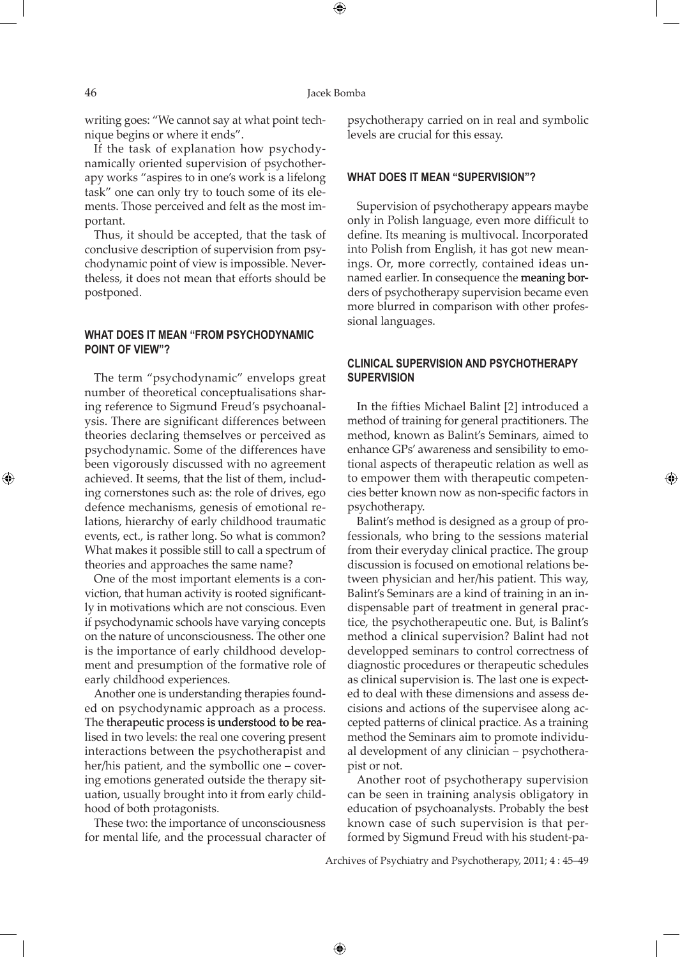⊕

writing goes: "We cannot say at what point technique begins or where it ends".

If the task of explanation how psychodynamically oriented supervision of psychotherapy works "aspires to in one's work is a lifelong task" one can only try to touch some of its elements. Those perceived and felt as the most important.

Thus, it should be accepted, that the task of conclusive description of supervision from psychodynamic point of view is impossible. Nevertheless, it does not mean that efforts should be postponed.

### **What does it mean "from psychodynamic point of view"?**

The term "psychodynamic" envelops great number of theoretical conceptualisations sharing reference to Sigmund Freud's psychoanalysis. There are significant differences between theories declaring themselves or perceived as psychodynamic. Some of the differences have been vigorously discussed with no agreement achieved. It seems, that the list of them, including cornerstones such as: the role of drives, ego defence mechanisms, genesis of emotional relations, hierarchy of early childhood traumatic events, ect., is rather long. So what is common? What makes it possible still to call a spectrum of theories and approaches the same name?

One of the most important elements is a conviction, that human activity is rooted significantly in motivations which are not conscious. Even if psychodynamic schools have varying concepts on the nature of unconsciousness. The other one is the importance of early childhood development and presumption of the formative role of early childhood experiences.

Another one is understanding therapies founded on psychodynamic approach as a process. The therapeutic process is understood to be realised in two levels: the real one covering present interactions between the psychotherapist and her/his patient, and the symbollic one – covering emotions generated outside the therapy situation, usually brought into it from early childhood of both protagonists.

These two: the importance of unconsciousness for mental life, and the processual character of psychotherapy carried on in real and symbolic levels are crucial for this essay.

#### **What does it mean "supervision"?**

Supervision of psychotherapy appears maybe only in Polish language, even more difficult to define. Its meaning is multivocal. Incorporated into Polish from English, it has got new meanings. Or, more correctly, contained ideas unnamed earlier. In consequence the meaning borders of psychotherapy supervision became even more blurred in comparison with other professional languages.

#### **Clinical supervision and psychotherapy supervision**

In the fifties Michael Balint [2] introduced a method of training for general practitioners. The method, known as Balint's Seminars, aimed to enhance GPs' awareness and sensibility to emotional aspects of therapeutic relation as well as to empower them with therapeutic competencies better known now as non-specific factors in psychotherapy.

⊕

Balint's method is designed as a group of professionals, who bring to the sessions material from their everyday clinical practice. The group discussion is focused on emotional relations between physician and her/his patient. This way, Balint's Seminars are a kind of training in an indispensable part of treatment in general practice, the psychotherapeutic one. But, is Balint's method a clinical supervision? Balint had not developped seminars to control correctness of diagnostic procedures or therapeutic schedules as clinical supervision is. The last one is expected to deal with these dimensions and assess decisions and actions of the supervisee along accepted patterns of clinical practice. As a training method the Seminars aim to promote individual development of any clinician – psychotherapist or not.

Another root of psychotherapy supervision can be seen in training analysis obligatory in education of psychoanalysts. Probably the best known case of such supervision is that performed by Sigmund Freud with his student-pa-

Archives of Psychiatry and Psychotherapy, 2011; 4 : 45–49

 $\bigoplus$ 

⊕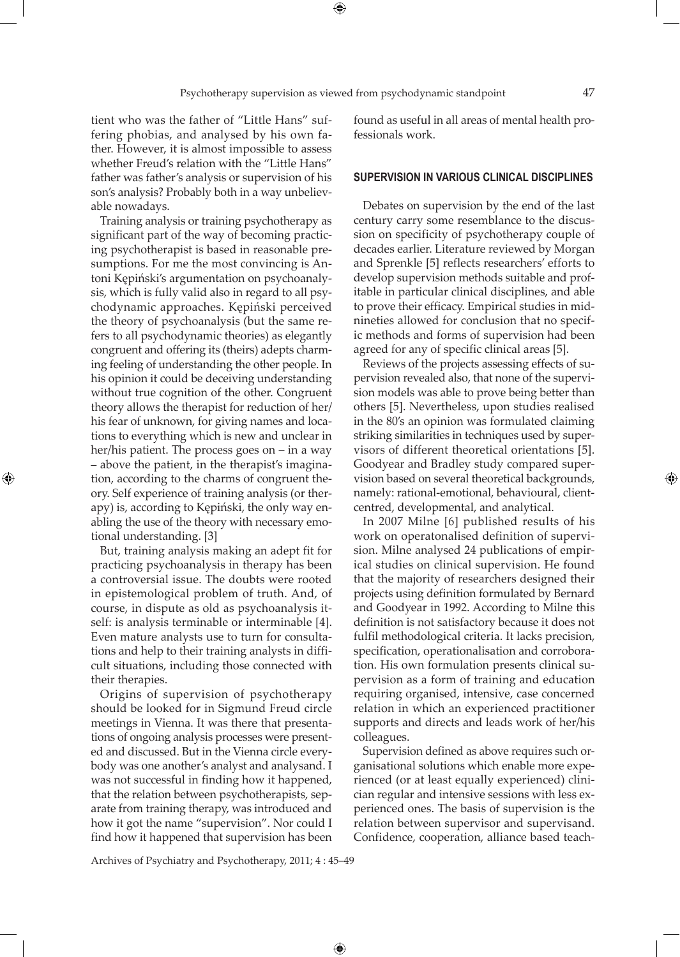tient who was the father of "Little Hans" suffering phobias, and analysed by his own father. However, it is almost impossible to assess whether Freud's relation with the "Little Hans" father was father's analysis or supervision of his son's analysis? Probably both in a way unbelievable nowadays.

Training analysis or training psychotherapy as significant part of the way of becoming practicing psychotherapist is based in reasonable presumptions. For me the most convincing is Antoni Kępiński's argumentation on psychoanalysis, which is fully valid also in regard to all psychodynamic approaches. Kępiński perceived the theory of psychoanalysis (but the same refers to all psychodynamic theories) as elegantly congruent and offering its (theirs) adepts charming feeling of understanding the other people. In his opinion it could be deceiving understanding without true cognition of the other. Congruent theory allows the therapist for reduction of her/ his fear of unknown, for giving names and locations to everything which is new and unclear in her/his patient. The process goes on – in a way – above the patient, in the therapist's imagination, according to the charms of congruent theory. Self experience of training analysis (or therapy) is, according to Kępiński, the only way enabling the use of the theory with necessary emotional understanding. [3]

⊕

But, training analysis making an adept fit for practicing psychoanalysis in therapy has been a controversial issue. The doubts were rooted in epistemological problem of truth. And, of course, in dispute as old as psychoanalysis itself: is analysis terminable or interminable [4]. Even mature analysts use to turn for consultations and help to their training analysts in difficult situations, including those connected with their therapies.

Origins of supervision of psychotherapy should be looked for in Sigmund Freud circle meetings in Vienna. It was there that presentations of ongoing analysis processes were presented and discussed. But in the Vienna circle everybody was one another's analyst and analysand. I was not successful in finding how it happened, that the relation between psychotherapists, separate from training therapy, was introduced and how it got the name "supervision". Nor could I find how it happened that supervision has been

found as useful in all areas of mental health professionals work.

#### **Supervision in various clinical disciplines**

Debates on supervision by the end of the last century carry some resemblance to the discussion on specificity of psychotherapy couple of decades earlier. Literature reviewed by Morgan and Sprenkle [5] reflects researchers' efforts to develop supervision methods suitable and profitable in particular clinical disciplines, and able to prove their efficacy. Empirical studies in midnineties allowed for conclusion that no specific methods and forms of supervision had been agreed for any of specific clinical areas [5].

Reviews of the projects assessing effects of supervision revealed also, that none of the supervision models was able to prove being better than others [5]. Nevertheless, upon studies realised in the 80's an opinion was formulated claiming striking similarities in techniques used by supervisors of different theoretical orientations [5]. Goodyear and Bradley study compared supervision based on several theoretical backgrounds, namely: rational-emotional, behavioural, clientcentred, developmental, and analytical.

In 2007 Milne [6] published results of his work on operatonalised definition of supervision. Milne analysed 24 publications of empirical studies on clinical supervision. He found that the majority of researchers designed their projects using definition formulated by Bernard and Goodyear in 1992. According to Milne this definition is not satisfactory because it does not fulfil methodological criteria. It lacks precision, specification, operationalisation and corroboration. His own formulation presents clinical supervision as a form of training and education requiring organised, intensive, case concerned relation in which an experienced practitioner supports and directs and leads work of her/his colleagues.

Supervision defined as above requires such organisational solutions which enable more experienced (or at least equally experienced) clinician regular and intensive sessions with less experienced ones. The basis of supervision is the relation between supervisor and supervisand. Confidence, cooperation, alliance based teach-

Archives of Psychiatry and Psychotherapy, 2011; 4 : 45–49

 $\bigoplus$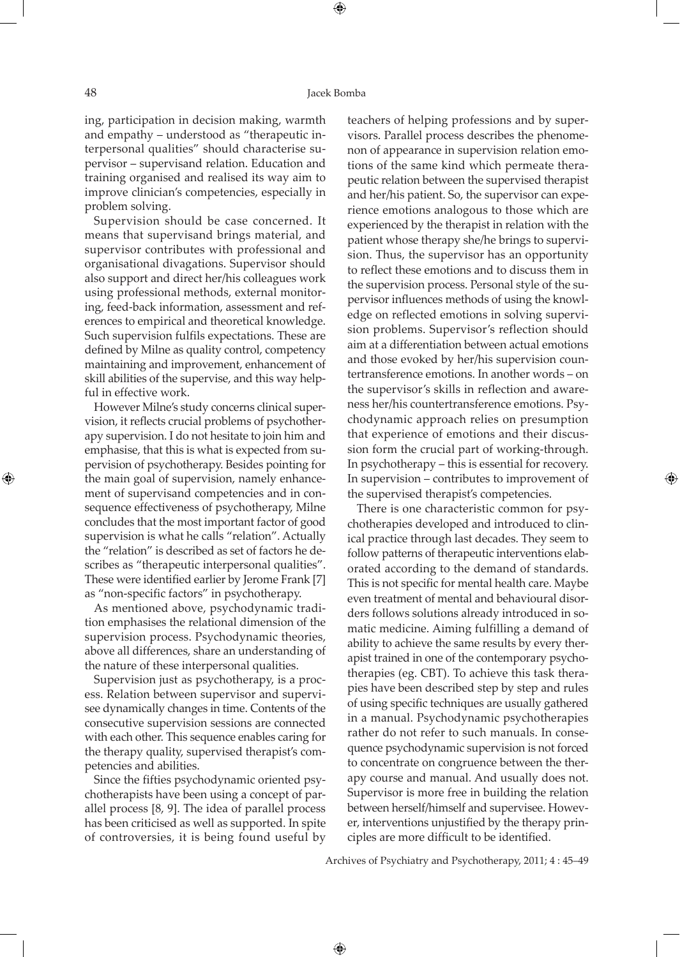#### 48 Jacek Bomba

⊕

ing, participation in decision making, warmth and empathy – understood as "therapeutic interpersonal qualities" should characterise supervisor – supervisand relation. Education and training organised and realised its way aim to improve clinician's competencies, especially in problem solving.

Supervision should be case concerned. It means that supervisand brings material, and supervisor contributes with professional and organisational divagations. Supervisor should also support and direct her/his colleagues work using professional methods, external monitoring, feed-back information, assessment and references to empirical and theoretical knowledge. Such supervision fulfils expectations. These are defined by Milne as quality control, competency maintaining and improvement, enhancement of skill abilities of the supervise, and this way helpful in effective work.

However Milne's study concerns clinical supervision, it reflects crucial problems of psychotherapy supervision. I do not hesitate to join him and emphasise, that this is what is expected from supervision of psychotherapy. Besides pointing for the main goal of supervision, namely enhancement of supervisand competencies and in consequence effectiveness of psychotherapy, Milne concludes that the most important factor of good supervision is what he calls "relation". Actually the "relation" is described as set of factors he describes as "therapeutic interpersonal qualities". These were identified earlier by Jerome Frank [7] as "non-specific factors" in psychotherapy.

As mentioned above, psychodynamic tradition emphasises the relational dimension of the supervision process. Psychodynamic theories, above all differences, share an understanding of the nature of these interpersonal qualities.

Supervision just as psychotherapy, is a process. Relation between supervisor and supervisee dynamically changes in time. Contents of the consecutive supervision sessions are connected with each other. This sequence enables caring for the therapy quality, supervised therapist's competencies and abilities.

Since the fifties psychodynamic oriented psychotherapists have been using a concept of parallel process [8, 9]. The idea of parallel process has been criticised as well as supported. In spite of controversies, it is being found useful by teachers of helping professions and by supervisors. Parallel process describes the phenomenon of appearance in supervision relation emotions of the same kind which permeate therapeutic relation between the supervised therapist and her/his patient. So, the supervisor can experience emotions analogous to those which are experienced by the therapist in relation with the patient whose therapy she/he brings to supervision. Thus, the supervisor has an opportunity to reflect these emotions and to discuss them in the supervision process. Personal style of the supervisor influences methods of using the knowledge on reflected emotions in solving supervision problems. Supervisor's reflection should aim at a differentiation between actual emotions and those evoked by her/his supervision countertransference emotions. In another words – on the supervisor's skills in reflection and awareness her/his countertransference emotions. Psychodynamic approach relies on presumption that experience of emotions and their discussion form the crucial part of working-through. In psychotherapy – this is essential for recovery. In supervision – contributes to improvement of the supervised therapist's competencies.

There is one characteristic common for psychotherapies developed and introduced to clinical practice through last decades. They seem to follow patterns of therapeutic interventions elaborated according to the demand of standards. This is not specific for mental health care. Maybe even treatment of mental and behavioural disorders follows solutions already introduced in somatic medicine. Aiming fulfilling a demand of ability to achieve the same results by every therapist trained in one of the contemporary psychotherapies (eg. CBT). To achieve this task therapies have been described step by step and rules of using specific techniques are usually gathered in a manual. Psychodynamic psychotherapies rather do not refer to such manuals. In consequence psychodynamic supervision is not forced to concentrate on congruence between the therapy course and manual. And usually does not. Supervisor is more free in building the relation between herself/himself and supervisee. However, interventions unjustified by the therapy principles are more difficult to be identified.

Archives of Psychiatry and Psychotherapy, 2011; 4 : 45–49

 $\bigoplus$ 

⊕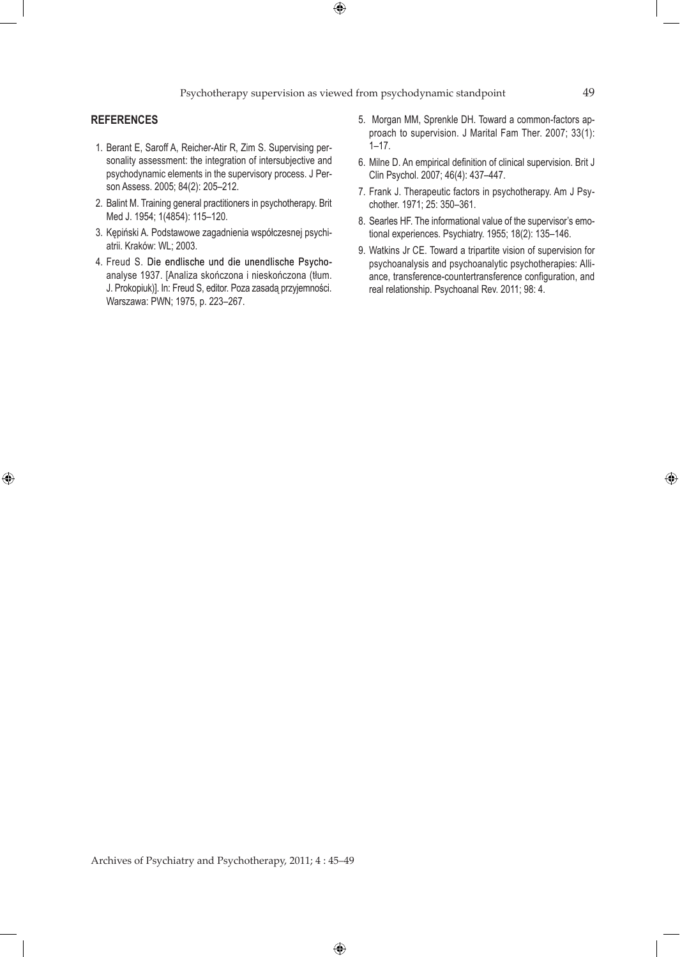Psychotherapy supervision as viewed from psychodynamic standpoint 49

 $\bigoplus$ 

#### **References**

 $\bigoplus$ 

- 1. Berant E, Saroff A, Reicher-Atir R, Zim S. Supervising personality assessment: the integration of intersubjective and psychodynamic elements in the supervisory process. J Person Assess. 2005; 84(2): 205–212.
- 2. Balint M. Training general practitioners in psychotherapy. Brit Med J. 1954; 1(4854): 115–120.
- 3. Kępiński A. Podstawowe zagadnienia współczesnej psychiatrii. Kraków: WL; 2003.
- 4. Freud S. Die endlische und die unendlische Psychoanalyse 1937. [Analiza skończona i nieskończona (tłum. J. Prokopiuk)]. In: Freud S, editor. Poza zasadą przyjemności. Warszawa: PWN; 1975, p. 223–267.
- 5. Morgan MM, Sprenkle DH. Toward a common-factors approach to supervision. J Marital Fam Ther. 2007; 33(1): 1–17.
- 6. Milne D. An empirical definition of clinical supervision. Brit J Clin Psychol. 2007; 46(4): 437–447.
- 7. Frank J. Therapeutic factors in psychotherapy. Am J Psychother. 1971; 25: 350–361.
- 8. Searles HF. The informational value of the supervisor's emotional experiences. Psychiatry. 1955; 18(2): 135–146.
- 9. Watkins Jr CE. Toward a tripartite vision of supervision for psychoanalysis and psychoanalytic psychotherapies: Alliance, transference-countertransference configuration, and real relationship. Psychoanal Rev. 2011; 98: 4.

Archives of Psychiatry and Psychotherapy, 2011; 4 : 45–49

 $\bigoplus$ 

⊕